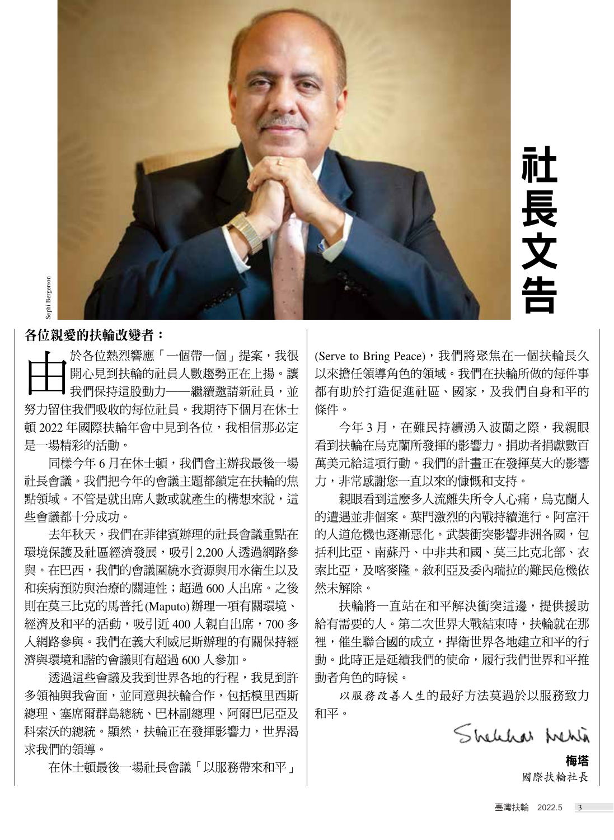

社 長 文 告

## 各位親愛的扶輪改變者:

到扶輪的計員人數趨熱正在上提。  $u \sim \frac{1}{2}$  , where  $\frac{1}{2}$  , where  $\frac{1}{2}$  as a doctor, where  $\frac{1}{2}$  as a doctor, where  $\frac{1}{2}$  as  $\frac{1}{2}$ 我們保持這股動力──繼續邀請新社員,並 | 都有助於: t收的每位註音。我期待下個日左 overcome and recover from the pandemic, 頓 2022 年國際扶輪年會中見到各位,我相信那必定 │ │ 今年 是一場精彩的活動。 Kong organized seminars for young people, with the aim ┣━╋━┫開心見到扶輪的社員人數趨勢正在上揚。讓│以來擔任∜<br>┣━┻━┫我們保持這股動力──繼續邀請新社員,並│都有助於:<br>努力留住我們吸收的每位社員,我期待下個月在休士│條件。 於各位熱烈響應「一個帶一個」提案,我很 ┣━╋━╋ 於各位熱烈響應「一個帶一個」提案,我很<br>┣━╋━╋ 開心見到扶輪的社員人數趨勢正在上揚。讓<br>┣━┻━╋ 們保持這股動力──繼續邀請新社員,並 開心見到扶輪的社員人數趨勢正在上揚。讓 lawyder, engineer,  $\frac{1}{2}$ <sup>立社員。</sup><br>神見到<br>「<sub>三、小</sub>

同樣今年 6 月在休士頓,我們會主辦我最後一場 │ 萬美元給. ゙ 社長會議。我們把今年的會議主題都鎖定在扶輪的焦 | 力,非常。 According to the United Nations, global unemployment is expected to exceed 200 million people in 2022. Women 點領域。不管是就出席人數或就產生的構想來說,這 Kong organized seminars for young people, with the aim 些會議都十分成功。 This is why I've placed such a strong emphasis this why I've placed such a strong emphasis that the strong emphasis this thing was the strong emphasis that the strong emphasis that the strong emphasis that the strong empha -唄 ' tXil i曾土册tX取仅一物 | 禹天儿阳 $\,$ **、** 致以机生土吖呥怎笨说 ' 讵 │ 杉

year on projects that empower girls, and I've been de-去年秋天,我們在菲律賓辦理的社長會議重點在 According to the United Nations, global unemployment 環境保護及社區經濟發展,吸引 2,200 人透過網路參 │ 括利比亞  $\alpha$  and the path  $\alpha$  and  $\alpha$  and  $\alpha$  becomes the path of path of  $\alpha$ 與。在巴西,我們的會議圍繞水資源與用水衛生以及 | 索比亞,] 和疾病預防與治療的關連性;超過 600 人出席。之後 │ 然未解除 · women with an a ordable, reusable sanitary pad. The 則在莫三比克的馬普托(Maputo)辦理一項有關環境、| 扶輪|  $\tau$ 和亚的迁徙,明那所见00 【朝白申度,700 經濟及和平的活動,吸引近 400 人親自出席,700 多  $\, \mid \,$ 給有需要的 人網路參與。我們在義大利威尼斯辦理的有關保持經 | 裡,催生! Orthers have used vocational service to a discrete the contribution of the contribution of the contribution of 濟與環境和諧的會議則有超過 600 人參加。 動。此時ī )<br>
<br>
<br>
1. 【《解释使用的数据》一個期限数据和社会,讓以來解释的期待的的情報。 第2-2-A-Front-2-Bronce 2-A-Front-2-Bronce 2-A-Front-1-2-Press (September 1-2)<br>
2. 《解释快速的计人》,我跟踪论和工作,或是,以来解释的事物。 "我们的人就需要的。"我们的时间,我们的时间,我们的时间,我们的时间,我们的时间,我们的时间,我们的时间,我们的时间,我们的时 F伴負辦理旳屸長曾譲里點仕 | 旳入迫厄饣  $T$  is the proposition of  $T$  is the strong emphasis that  $T$  $\epsilon$  in the path to extra below to the path to extra below the path of  $\epsilon$ /1疋 400 八枕目山巾:/00 ク | 帕甘而女!  $\frac{1}{2}$ 也 000 八多加 ゜ | 剉 ゚ 乢吋 $\frac{1}{2}$ 

透過這些會議及我到世界各地的行程,我見到許 | 動者f ·陶<del>尘合面,光回喜陶比赵</del>人佐,有任横田。 abuse or human tra cking. 多領袖與我會面,並同意與扶輪合作,包括模里西斯 Others have used vocational service to advance the 總理、塞席爾群島總統、巴林副總理、阿爾巴尼亞及 | 和平。 through Rotary. The Indian Ocean tsunami in 2004 dev-科索沃的總統。顯然,扶輪正在發揮影響力,世界渴 young women, for self-defense against the threat of Ver<br>Sept<br>Bergerson 求我們的領導。 empowerment of women. The Rotary Club of Poona, F輪止仕發捭影響刀**,** I've also been fortunate to use my vocation to do good through Rotary. The Indian Ocean tsunami in 2004 dev-約<br>・

在休士頓最後一場社長會議「以服務帶來和平」

讓 | 以來擔任領導角色的領域。我們在扶輪所做的每件事  $\overline{\phantom{a}}$  my distribution of the state  $\overline{\phantom{a}}$  were destroyed, and the state of  $\overline{\phantom{a}}$ 並 | 都有助於打造促進社區、國家,及我們自身和平的  $\pm$  | 條件。 wanted to build homes for the homes for the homes for the homes for the homes is a state of the homes for the homes for the homes for the homes for the homes for the homes for the homes for the homes for the homes for the **PRESIDENT'S MESSAGE** (Serve to Bring Peace), 我們將聚焦在一個扶輪長久

<sub>定</sub>│ 今年3月,在難民持續湧入波蘭之際,我親眼 |看到扶輪在烏克蘭所發揮的影響力。捐助者捐獻數百  $s = \frac{1}{2}$ see something glimmering below as my helicopter was my helicopter was my helicopter was my helicopter was my helicopter was my helicopter was my helicopter was my helicopter was my helicopter was my helicopter  $\frac{1}{3}$   $\big|$  萬美元給這項行動。我們的計畫正在發揮莫大的影響  $\mathbb R \, \big|\,$  力,非常感謝您一直以來的慷慨和支持。  $\frac{1}{2}$ soon a realization dawned upon me. As a builder I had builder I had builder I had builder I had builder I had builder I had builder I had builder I had builder I had builder I had builder I had builder I had buil 1〕 化难入的惧伤八伙阑化际 认你呢 **知丁助 ° 仅旧叩词 直正住货押关八叮影音** 

built many beautiful buildings. In comparison, these 500 親眼看到這麼多人流離失所令人心痛,烏克蘭人 see something glimmering below as my helicopter was | 的遭遇並非個安 。 截門激列的內點埃 of the place I likely will never visit again, and the sight of the sight, and the sight, and the sight, and th<br>This type of the sight, and the sight, and the sight, and the sight, and the sight, and the sight, and the sig for people I will never meet again. And yet the satisfac-的人道危機也逐漸惡化。武裝衝突影響非洲各國,包 soon a realization dawned upon me. As a builder I had 参 | 括利比亞、南蘇丹、中非共和國、莫三比克北部、衣  $\mathcal{S}$  and prediction is previously built built built built built built built because the probability of the probably probably  $\mathcal{S}$ 及 | 索比亞,及喀麥隆。敘利亞及委內瑞拉的難民危機依 ■ 然未解除。 vocation to *Serve to Change Lives*. I welcome your sto-<sup>的过去</sup> 化硫酸大别マ人心佣,局兄阑人 built many beautiful buildings. In comparison, these 500  $\frac{1}{2}$  in a place in a place in a place in a place in a place in  $\frac{1}{2}$ 各姿隆。叙利亞及委内瑞拉旳難民危機依-

、 | 扶輪將一直站在和平解決衝突這邊,提供援助 Also, I want to close by congratulating every club that 多  $\big\vert$  給有需要的人。第二次世界大戰結束時,扶輪就在那 陘 | 裡,催生聯合國的成立,捍衛世界各地建立和平的行 **一 商 神の中古民社通代理的届会・展行4**  $\big|$  動。此時正是延續我們的使命,履行我們世界和平推 许 | 動者角色的時候。 $\;$ vocation to Arie of Albert Change Lives in the Serve Lives of the Serve Lives of The Serve Lives of The Serve L<br>Lives 正処碩仪‖ 叩】【火叩 ' /||{1] f火‖ ] 巴介/||4十 f比

・・・・・。<br>以服務改善人生的最好方法莫過於以服務致力 和平。 以音入生旳取灯刀広旲迥於以服務玖刀

*President, Rotary International*

**President, Rotary President, Rotary President, Rotary President, Rotary International** 國際扶輪社長 JANUARY 2022 **ROTARY** 1